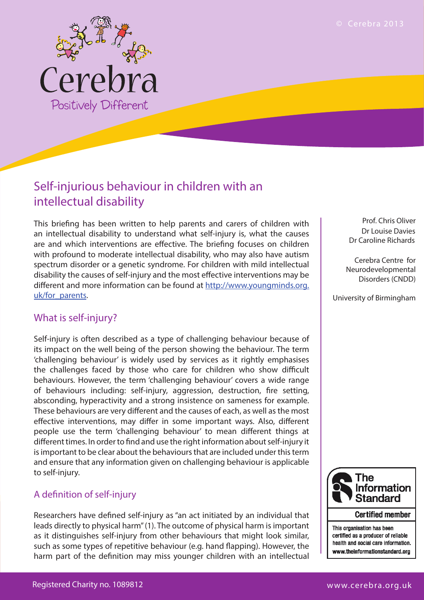

# intellectual disability

This briefing has been written to help parents and carers of children with an intellectual disability to understand what self-injury is, what the causes are and which interventions are effective. The briefing focuses on children with profound to moderate intellectual disability, who may also have autism spectrum disorder or a genetic syndrome. For children with mild intellectual disability the causes of self-injury and the most effective interventions may be different and more information can be found at http://www.youngminds.org. uk/for\_parents.

# What is self-injury?

Self-injury is often described as a type of challenging behaviour because of its impact on the well being of the person showing the behaviour. The term 'challenging behaviour' is widely used by services as it rightly emphasises the challenges faced by those who care for children who show difficult behaviours. However, the term 'challenging behaviour' covers a wide range of behaviours including: self-injury, aggression, destruction, fire setting, absconding, hyperactivity and a strong insistence on sameness for example. These behaviours are very different and the causes of each, as well as the most effective interventions, may differ in some important ways. Also, different people use the term 'challenging behaviour' to mean different things at different times. In order to find and use the right information about self-injury it is important to be clear about the behaviours that are included under this term and ensure that any information given on challenging behaviour is applicable to self-injury.

# A definition of self-injury

Researchers have defined self-injury as "an act initiated by an individual that leads directly to physical harm" (1). The outcome of physical harm is important as it distinguishes self-injury from other behaviours that might look similar, such as some types of repetitive behaviour (e.g. hand flapping). However, the harm part of the definition may miss younger children with an intellectual

Prof. Chris Oliver Dr Louise Davies Dr Caroline Richards

 Cerebra Centre for Neurodevelopmental Disorders (CNDD)

University of Birmingham



This organisation has been certified as a producer of reliable health and social care information. www.theinformationstandard.org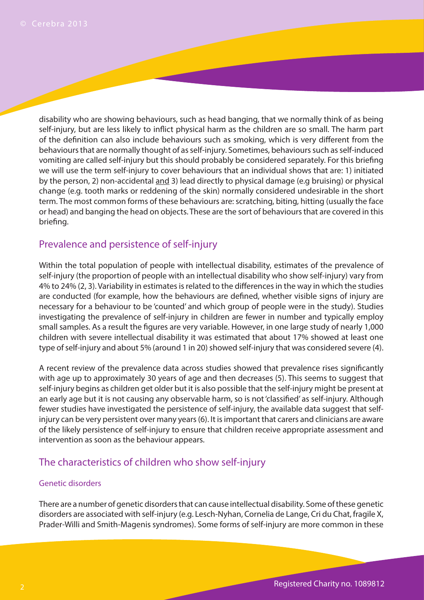© Cerebra 2013<br>disability who are showing behaviours, such as head banging, that we normally think of as being self-injury, but are less likely to inflict physical harm as the children are so small. The harm part of the definition can also include behaviours such as smoking, which is very different from the behaviours that are normally thought of as self-injury. Sometimes, behaviours such as self-induced vomiting are called self-injury but this should probably be considered separately. For this briefing we will use the term self-injury to cover behaviours that an individual shows that are: 1) initiated by the person, 2) non-accidental and 3) lead directly to physical damage (e.g bruising) or physical change (e.g. tooth marks or reddening of the skin) normally considered undesirable in the short term. The most common forms of these behaviours are: scratching, biting, hitting (usually the face or head) and banging the head on objects. These are the sort of behaviours that are covered in this briefing.

# Prevalence and persistence of self-injury

Within the total population of people with intellectual disability, estimates of the prevalence of self-injury (the proportion of people with an intellectual disability who show self-injury) vary from 4% to 24% (2, 3). Variability in estimates is related to the differences in the way in which the studies are conducted (for example, how the behaviours are defined, whether visible signs of injury are necessary for a behaviour to be 'counted' and which group of people were in the study). Studies investigating the prevalence of self-injury in children are fewer in number and typically employ small samples. As a result the figures are very variable. However, in one large study of nearly 1,000 children with severe intellectual disability it was estimated that about 17% showed at least one type of self-injury and about 5% (around 1 in 20) showed self-injury that was considered severe (4).

A recent review of the prevalence data across studies showed that prevalence rises significantly with age up to approximately 30 years of age and then decreases (5). This seems to suggest that self-injury begins as children get older but it is also possible that the self-injury might be present at an early age but it is not causing any observable harm, so is not 'classified' as self-injury. Although fewer studies have investigated the persistence of self-injury, the available data suggest that selfinjury can be very persistent over many years (6). It is important that carers and clinicians are aware of the likely persistence of self-injury to ensure that children receive appropriate assessment and intervention as soon as the behaviour appears.

## The characteristics of children who show self-injury

#### Genetic disorders

There are a number of genetic disorders that can cause intellectual disability. Some of these genetic disorders are associated with self-injury (e.g. Lesch-Nyhan, Cornelia de Lange, Cri du Chat, fragile X, Prader-Willi and Smith-Magenis syndromes). Some forms of self-injury are more common in these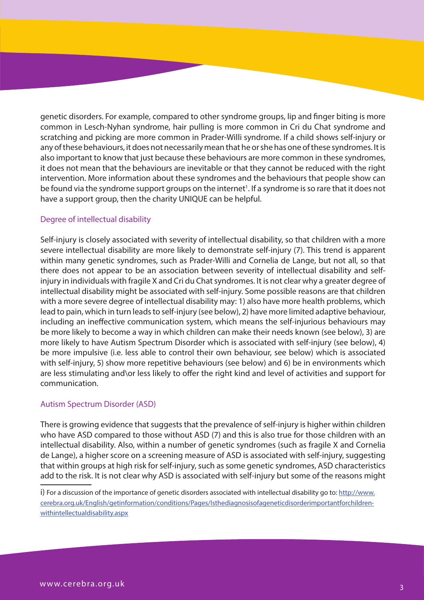genetic disorders. For example, compared to other syndrome groups, lip and finger biting is more common in Lesch-Nyhan syndrome, hair pulling is more common in Cri du Chat syndrome and scratching and picking are more common in Prader-Willi syndrome. If a child shows self-injury or any of these behaviours, it does not necessarily mean that he or she has one of these syndromes. It is also important to know that just because these behaviours are more common in these syndromes, it does not mean that the behaviours are inevitable or that they cannot be reduced with the right intervention. More information about these syndromes and the behaviours that people show can be found via the syndrome support groups on the internet<sup>1</sup>. If a syndrome is so rare that it does not have a support group, then the charity UNIQUE can be helpful.

#### Degree of intellectual disability

Self-injury is closely associated with severity of intellectual disability, so that children with a more severe intellectual disability are more likely to demonstrate self-injury (7). This trend is apparent within many genetic syndromes, such as Prader-Willi and Cornelia de Lange, but not all, so that there does not appear to be an association between severity of intellectual disability and selfinjury in individuals with fragile X and Cri du Chat syndromes. It is not clear why a greater degree of intellectual disability might be associated with self-injury. Some possible reasons are that children with a more severe degree of intellectual disability may: 1) also have more health problems, which lead to pain, which in turn leads to self-injury (see below), 2) have more limited adaptive behaviour, including an ineffective communication system, which means the self-injurious behaviours may be more likely to become a way in which children can make their needs known (see below), 3) are more likely to have Autism Spectrum Disorder which is associated with self-injury (see below), 4) be more impulsive (i.e. less able to control their own behaviour, see below) which is associated with self-injury, 5) show more repetitive behaviours (see below) and 6) be in environments which are less stimulating and\or less likely to offer the right kind and level of activities and support for communication.

#### Autism Spectrum Disorder (ASD)

There is growing evidence that suggests that the prevalence of self-injury is higher within children who have ASD compared to those without ASD (7) and this is also true for those children with an intellectual disability. Also, within a number of genetic syndromes (such as fragile X and Cornelia de Lange), a higher score on a screening measure of ASD is associated with self-injury, suggesting that within groups at high risk for self-injury, such as some genetic syndromes, ASD characteristics add to the risk. It is not clear why ASD is associated with self-injury but some of the reasons might

i) For a discussion of the importance of genetic disorders associated with intellectual disability go to: http://www. cerebra.org.uk/English/getinformation/conditions/Pages/Isthediagnosisofageneticdisorderimportantforchildrenwithintellectualdisability.aspx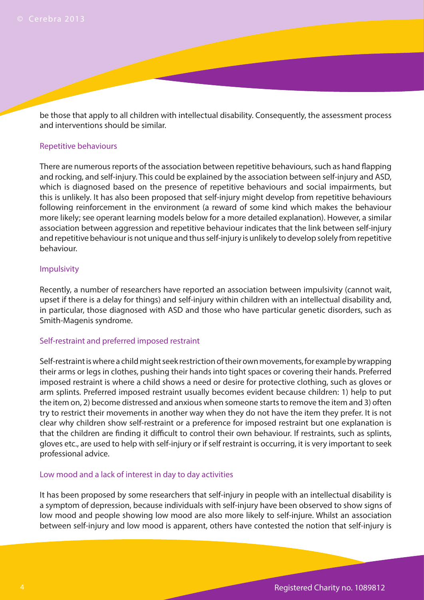be those that apply to all children with intellectual disability. Consequently, the assessment process and interventions should be similar.

#### Repetitive behaviours

There are numerous reports of the association between repetitive behaviours, such as hand flapping and rocking, and self-injury. This could be explained by the association between self-injury and ASD, which is diagnosed based on the presence of repetitive behaviours and social impairments, but this is unlikely. It has also been proposed that self-injury might develop from repetitive behaviours following reinforcement in the environment (a reward of some kind which makes the behaviour more likely; see operant learning models below for a more detailed explanation). However, a similar association between aggression and repetitive behaviour indicates that the link between self-injury and repetitive behaviour is not unique and thus self-injury is unlikely to develop solely from repetitive behaviour.

#### Impulsivity

Recently, a number of researchers have reported an association between impulsivity (cannot wait, upset if there is a delay for things) and self-injury within children with an intellectual disability and, in particular, those diagnosed with ASD and those who have particular genetic disorders, such as Smith-Magenis syndrome.

#### Self-restraint and preferred imposed restraint

Self-restraint is where a child might seek restriction of their own movements, for example by wrapping their arms or legs in clothes, pushing their hands into tight spaces or covering their hands. Preferred imposed restraint is where a child shows a need or desire for protective clothing, such as gloves or arm splints. Preferred imposed restraint usually becomes evident because children: 1) help to put the item on, 2) become distressed and anxious when someone starts to remove the item and 3) often try to restrict their movements in another way when they do not have the item they prefer. It is not clear why children show self-restraint or a preference for imposed restraint but one explanation is that the children are finding it difficult to control their own behaviour. If restraints, such as splints, gloves etc., are used to help with self-injury or if self restraint is occurring, it is very important to seek professional advice.

#### Low mood and a lack of interest in day to day activities

It has been proposed by some researchers that self-injury in people with an intellectual disability is a symptom of depression, because individuals with self-injury have been observed to show signs of low mood and people showing low mood are also more likely to self-injure. Whilst an association between self-injury and low mood is apparent, others have contested the notion that self-injury is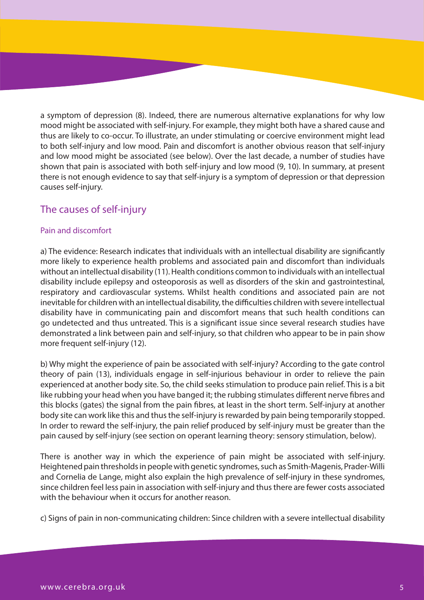a symptom of depression (8). Indeed, there are numerous alternative explanations for why low mood might be associated with self-injury. For example, they might both have a shared cause and thus are likely to co-occur. To illustrate, an under stimulating or coercive environment might lead to both self-injury and low mood. Pain and discomfort is another obvious reason that self-injury and low mood might be associated (see below). Over the last decade, a number of studies have shown that pain is associated with both self-injury and low mood (9, 10). In summary, at present there is not enough evidence to say that self-injury is a symptom of depression or that depression causes self-injury.

# The causes of self-injury

#### Pain and discomfort

a) The evidence: Research indicates that individuals with an intellectual disability are significantly more likely to experience health problems and associated pain and discomfort than individuals without an intellectual disability (11). Health conditions common to individuals with an intellectual disability include epilepsy and osteoporosis as well as disorders of the skin and gastrointestinal, respiratory and cardiovascular systems. Whilst health conditions and associated pain are not inevitable for children with an intellectual disability, the difficulties children with severe intellectual disability have in communicating pain and discomfort means that such health conditions can go undetected and thus untreated. This is a significant issue since several research studies have demonstrated a link between pain and self-injury, so that children who appear to be in pain show more frequent self-injury (12).

b) Why might the experience of pain be associated with self-injury? According to the gate control theory of pain (13), individuals engage in self-injurious behaviour in order to relieve the pain experienced at another body site. So, the child seeks stimulation to produce pain relief. This is a bit like rubbing your head when you have banged it; the rubbing stimulates different nerve fibres and this blocks (gates) the signal from the pain fibres, at least in the short term. Self-injury at another body site can work like this and thus the self-injury is rewarded by pain being temporarily stopped. In order to reward the self-injury, the pain relief produced by self-injury must be greater than the pain caused by self-injury (see section on operant learning theory: sensory stimulation, below).

There is another way in which the experience of pain might be associated with self-injury. Heightened pain thresholds in people with genetic syndromes, such as Smith-Magenis, Prader-Willi and Cornelia de Lange, might also explain the high prevalence of self-injury in these syndromes, since children feel less pain in association with self-injury and thus there are fewer costs associated with the behaviour when it occurs for another reason

c) Signs of pain in non-communicating children: Since children with a severe intellectual disability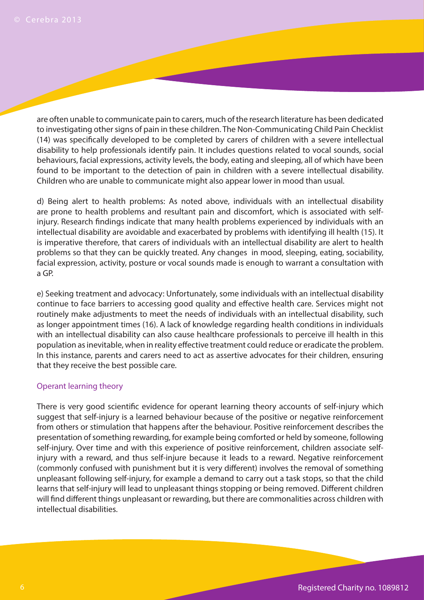are often unable to communicate pain to carers, much of the research literature has been dedicated to investigating other signs of pain in these children. The Non-Communicating Child Pain Checklist (14) was specifically developed to be completed by carers of children with a severe intellectual disability to help professionals identify pain. It includes questions related to vocal sounds, social behaviours, facial expressions, activity levels, the body, eating and sleeping, all of which have been found to be important to the detection of pain in children with a severe intellectual disability. Children who are unable to communicate might also appear lower in mood than usual.

d) Being alert to health problems: As noted above, individuals with an intellectual disability are prone to health problems and resultant pain and discomfort, which is associated with selfinjury. Research findings indicate that many health problems experienced by individuals with an intellectual disability are avoidable and exacerbated by problems with identifying ill health (15). It is imperative therefore, that carers of individuals with an intellectual disability are alert to health problems so that they can be quickly treated. Any changes in mood, sleeping, eating, sociability, facial expression, activity, posture or vocal sounds made is enough to warrant a consultation with a GP.

e) Seeking treatment and advocacy: Unfortunately, some individuals with an intellectual disability continue to face barriers to accessing good quality and effective health care. Services might not routinely make adjustments to meet the needs of individuals with an intellectual disability, such as longer appointment times (16). A lack of knowledge regarding health conditions in individuals with an intellectual disability can also cause healthcare professionals to perceive ill health in this population as inevitable, when in reality effective treatment could reduce or eradicate the problem. In this instance, parents and carers need to act as assertive advocates for their children, ensuring that they receive the best possible care.

#### Operant learning theory

There is very good scientific evidence for operant learning theory accounts of self-injury which suggest that self-injury is a learned behaviour because of the positive or negative reinforcement from others or stimulation that happens after the behaviour. Positive reinforcement describes the presentation of something rewarding, for example being comforted or held by someone, following self-injury. Over time and with this experience of positive reinforcement, children associate selfinjury with a reward, and thus self-injure because it leads to a reward. Negative reinforcement (commonly confused with punishment but it is very different) involves the removal of something unpleasant following self-injury, for example a demand to carry out a task stops, so that the child learns that self-injury will lead to unpleasant things stopping or being removed. Different children will find different things unpleasant or rewarding, but there are commonalities across children with intellectual disabilities.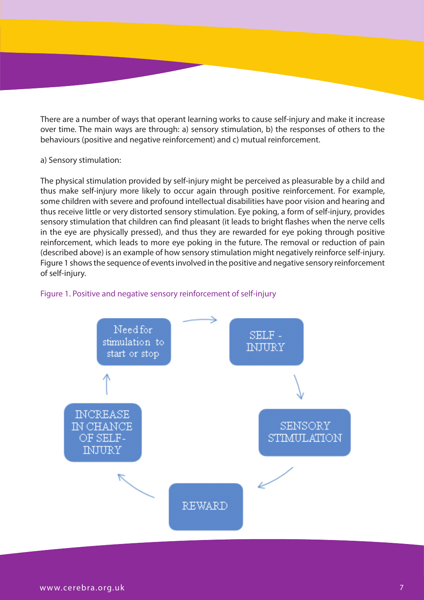There are a number of ways that operant learning works to cause self-injury and make it increase over time. The main ways are through: a) sensory stimulation, b) the responses of others to the behaviours (positive and negative reinforcement) and c) mutual reinforcement.

#### a) Sensory stimulation:

The physical stimulation provided by self-injury might be perceived as pleasurable by a child and thus make self-injury more likely to occur again through positive reinforcement. For example, some children with severe and profound intellectual disabilities have poor vision and hearing and thus receive little or very distorted sensory stimulation. Eye poking, a form of self-injury, provides sensory stimulation that children can find pleasant (it leads to bright flashes when the nerve cells in the eye are physically pressed), and thus they are rewarded for eye poking through positive reinforcement, which leads to more eye poking in the future. The removal or reduction of pain (described above) is an example of how sensory stimulation might negatively reinforce self-injury. Figure 1 shows the sequence of events involved in the positive and negative sensory reinforcement of self-injury.



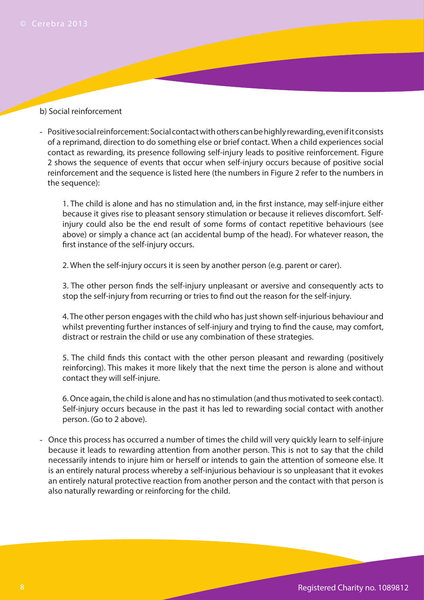# © Cerebra 2013<br>**b) Social reinforcement**

- Positive social reinforcement: Social contact with others can be highly rewarding, even if it consists of a reprimand, direction to do something else or brief contact. When a child experiences social contact as rewarding, its presence following self-injury leads to positive reinforcement. Figure 2 shows the sequence of events that occur when self-injury occurs because of positive social reinforcement and the sequence is listed here (the numbers in Figure 2 refer to the numbers in the sequence):

1. The child is alone and has no stimulation and, in the first instance, may self-injure either because it gives rise to pleasant sensory stimulation or because it relieves discomfort. Selfinjury could also be the end result of some forms of contact repetitive behaviours (see above) or simply a chance act (an accidental bump of the head). For whatever reason, the first instance of the self-injury occurs.

2. When the self-injury occurs it is seen by another person (e.g. parent or carer).

3. The other person finds the self-injury unpleasant or aversive and consequently acts to stop the self-injury from recurring or tries to find out the reason for the self-injury.

4. The other person engages with the child who has just shown self-injurious behaviour and whilst preventing further instances of self-injury and trying to find the cause, may comfort, distract or restrain the child or use any combination of these strategies.

5. The child finds this contact with the other person pleasant and rewarding (positively reinforcing). This makes it more likely that the next time the person is alone and without contact they will self-injure.

6. Once again, the child is alone and has no stimulation (and thus motivated to seek contact). Self-injury occurs because in the past it has led to rewarding social contact with another person. (Go to 2 above).

- Once this process has occurred a number of times the child will very quickly learn to self-injure because it leads to rewarding attention from another person. This is not to say that the child necessarily intends to injure him or herself or intends to gain the attention of someone else. It is an entirely natural process whereby a self-injurious behaviour is so unpleasant that it evokes an entirely natural protective reaction from another person and the contact with that person is also naturally rewarding or reinforcing for the child.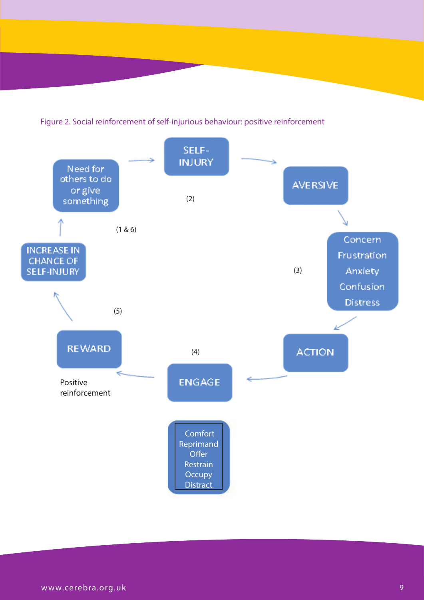Figure 2. Social reinforcement of self-injurious behaviour: positive reinforcement

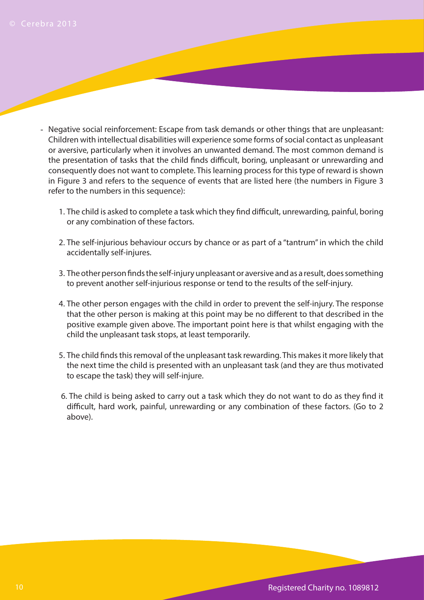- Negative social reinforcement: Escape from task demands or other things that are unpleasant: Children with intellectual disabilities will experience some forms of social contact as unpleasant or aversive, particularly when it involves an unwanted demand. The most common demand is the presentation of tasks that the child finds difficult, boring, unpleasant or unrewarding and consequently does not want to complete. This learning process for this type of reward is shown in Figure 3 and refers to the sequence of events that are listed here (the numbers in Figure 3 refer to the numbers in this sequence):
	- 1. The child is asked to complete a task which they find difficult, unrewarding, painful, boring or any combination of these factors.
	- 2. The self-injurious behaviour occurs by chance or as part of a "tantrum" in which the child accidentally self-injures.
	- 3. The other person finds the self-injury unpleasant or aversive and as a result, does something to prevent another self-injurious response or tend to the results of the self-injury.
	- 4. The other person engages with the child in order to prevent the self-injury. The response that the other person is making at this point may be no different to that described in the positive example given above. The important point here is that whilst engaging with the child the unpleasant task stops, at least temporarily.
	- 5. The child finds this removal of the unpleasant task rewarding. This makes it more likely that the next time the child is presented with an unpleasant task (and they are thus motivated to escape the task) they will self-injure.
	- 6. The child is being asked to carry out a task which they do not want to do as they find it difficult, hard work, painful, unrewarding or any combination of these factors. (Go to 2 above).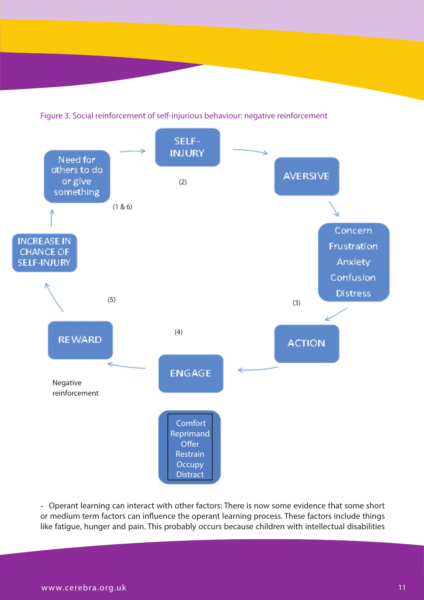



- Operant learning can interact with other factors: There is now some evidence that some short or medium term factors can influence the operant learning process. These factors include things like fatigue, hunger and pain. This probably occurs because children with intellectual disabilities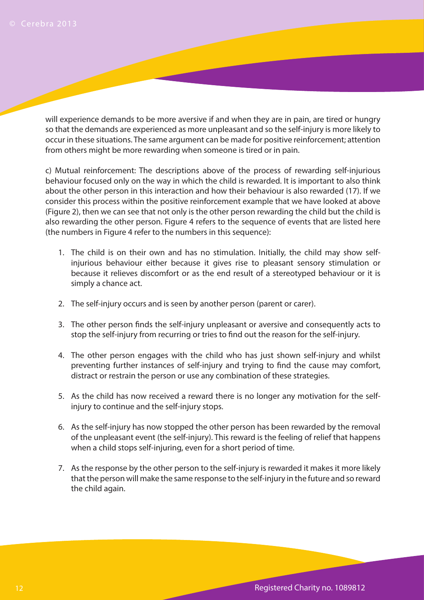will experience demands to be more aversive if and when they are in pain, are tired or hungry so that the demands are experienced as more unpleasant and so the self-injury is more likely to occur in these situations. The same argument can be made for positive reinforcement; attention from others might be more rewarding when someone is tired or in pain.

c) Mutual reinforcement: The descriptions above of the process of rewarding self-injurious behaviour focused only on the way in which the child is rewarded. It is important to also think about the other person in this interaction and how their behaviour is also rewarded (17). If we consider this process within the positive reinforcement example that we have looked at above (Figure 2), then we can see that not only is the other person rewarding the child but the child is also rewarding the other person. Figure 4 refers to the sequence of events that are listed here (the numbers in Figure 4 refer to the numbers in this sequence):

- 1. The child is on their own and has no stimulation. Initially, the child may show selfinjurious behaviour either because it gives rise to pleasant sensory stimulation or because it relieves discomfort or as the end result of a stereotyped behaviour or it is simply a chance act.
- 2. The self-injury occurs and is seen by another person (parent or carer).
- 3. The other person finds the self-injury unpleasant or aversive and consequently acts to stop the self-injury from recurring or tries to find out the reason for the self-injury.
- 4. The other person engages with the child who has just shown self-injury and whilst preventing further instances of self-injury and trying to find the cause may comfort, distract or restrain the person or use any combination of these strategies.
- 5. As the child has now received a reward there is no longer any motivation for the selfinjury to continue and the self-injury stops.
- 6. As the self-injury has now stopped the other person has been rewarded by the removal of the unpleasant event (the self-injury). This reward is the feeling of relief that happens when a child stops self-injuring, even for a short period of time.
- 7. As the response by the other person to the self-injury is rewarded it makes it more likely that the person will make the same response to the self-injury in the future and so reward the child again.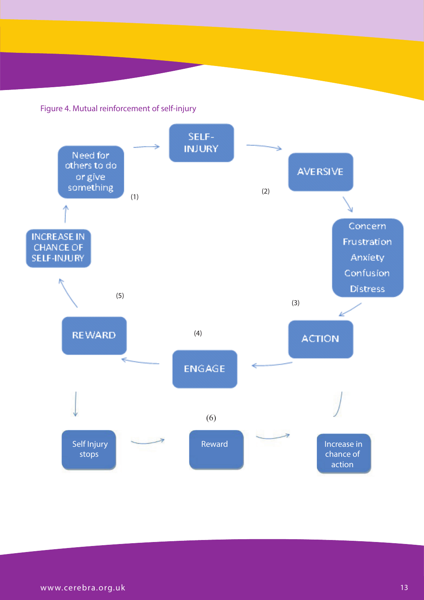Figure 4. Mutual reinforcement of self-injury

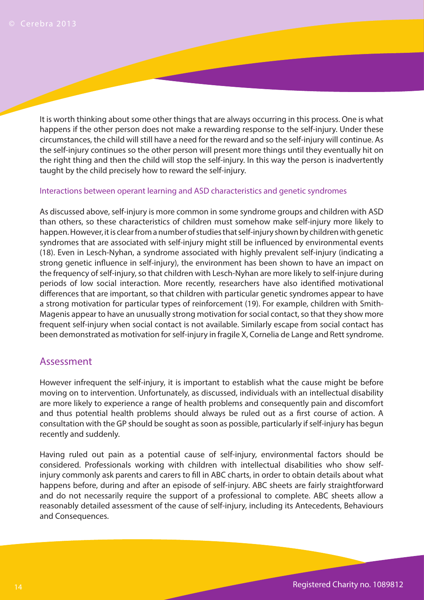It is worth thinking about some other things that are always occurring in this process. One is what happens if the other person does not make a rewarding response to the self-injury. Under these circumstances, the child will still have a need for the reward and so the self-injury will continue. As the self-injury continues so the other person will present more things until they eventually hit on the right thing and then the child will stop the self-injury. In this way the person is inadvertently taught by the child precisely how to reward the self-injury.

#### Interactions between operant learning and ASD characteristics and genetic syndromes

As discussed above, self-injury is more common in some syndrome groups and children with ASD than others, so these characteristics of children must somehow make self-injury more likely to happen. However, it is clear from a number of studies that self-injury shown by children with genetic syndromes that are associated with self-injury might still be influenced by environmental events (18). Even in Lesch-Nyhan, a syndrome associated with highly prevalent self-injury (indicating a strong genetic influence in self-injury), the environment has been shown to have an impact on the frequency of self-injury, so that children with Lesch-Nyhan are more likely to self-injure during periods of low social interaction. More recently, researchers have also identified motivational differences that are important, so that children with particular genetic syndromes appear to have a strong motivation for particular types of reinforcement (19). For example, children with Smith-Magenis appear to have an unusually strong motivation for social contact, so that they show more frequent self-injury when social contact is not available. Similarly escape from social contact has been demonstrated as motivation for self-injury in fragile X, Cornelia de Lange and Rett syndrome.

#### Assessment

However infrequent the self-injury, it is important to establish what the cause might be before moving on to intervention. Unfortunately, as discussed, individuals with an intellectual disability are more likely to experience a range of health problems and consequently pain and discomfort and thus potential health problems should always be ruled out as a first course of action. A consultation with the GP should be sought as soon as possible, particularly if self-injury has begun recently and suddenly.

Having ruled out pain as a potential cause of self-injury, environmental factors should be considered. Professionals working with children with intellectual disabilities who show selfinjury commonly ask parents and carers to fill in ABC charts, in order to obtain details about what happens before, during and after an episode of self-injury. ABC sheets are fairly straightforward and do not necessarily require the support of a professional to complete. ABC sheets allow a reasonably detailed assessment of the cause of self-injury, including its Antecedents, Behaviours and Consequences.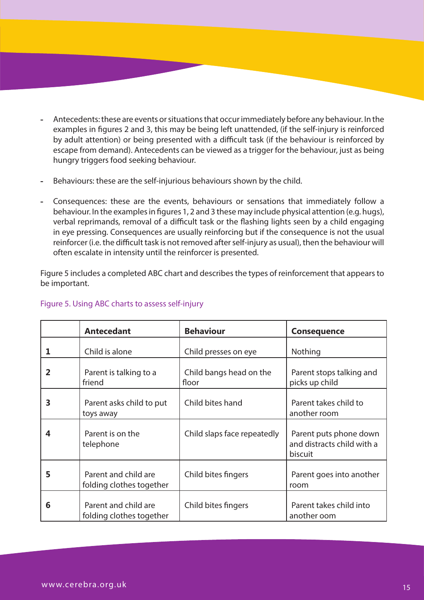- **-** Antecedents: these are events or situations that occur immediately before any behaviour. In the examples in figures 2 and 3, this may be being left unattended, (if the self-injury is reinforced by adult attention) or being presented with a difficult task (if the behaviour is reinforced by escape from demand). Antecedents can be viewed as a trigger for the behaviour, just as being hungry triggers food seeking behaviour.
- **-** Behaviours: these are the self-injurious behaviours shown by the child.
- **-** Consequences: these are the events, behaviours or sensations that immediately follow a behaviour. In the examples in figures 1, 2 and 3 these may include physical attention (e.g. hugs), verbal reprimands, removal of a difficult task or the flashing lights seen by a child engaging in eye pressing. Consequences are usually reinforcing but if the consequence is not the usual reinforcer (i.e. the difficult task is not removed after self-injury as usual), then the behaviour will often escalate in intensity until the reinforcer is presented.

Figure 5 includes a completed ABC chart and describes the types of reinforcement that appears to be important.

|   | <b>Antecedant</b>                                | <b>Behaviour</b>                 | <b>Consequence</b>                                              |
|---|--------------------------------------------------|----------------------------------|-----------------------------------------------------------------|
|   | Child is alone                                   | Child presses on eye             | Nothing                                                         |
|   | Parent is talking to a<br>friend                 | Child bangs head on the<br>floor | Parent stops talking and<br>picks up child                      |
| 3 | Parent asks child to put<br>toys away            | Child bites hand                 | Parent takes child to<br>another room                           |
| 4 | Parent is on the<br>telephone                    | Child slaps face repeatedly      | Parent puts phone down<br>and distracts child with a<br>biscuit |
| 5 | Parent and child are<br>folding clothes together | Child bites fingers              | Parent goes into another<br>room                                |
| 6 | Parent and child are<br>folding clothes together | Child bites fingers              | Parent takes child into<br>another oom                          |

#### Figure 5. Using ABC charts to assess self-injury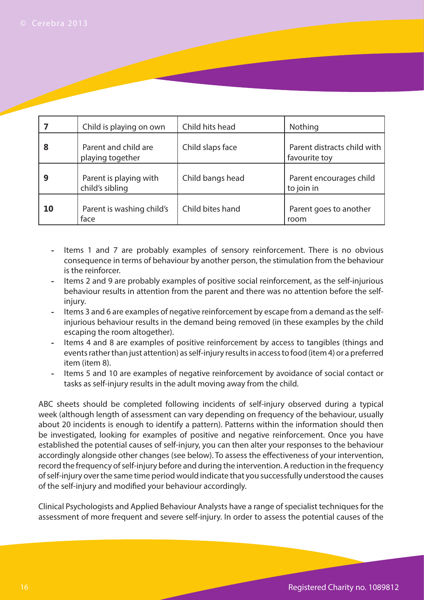|    | Child is playing on own                   | Child hits head  | Nothing                                      |
|----|-------------------------------------------|------------------|----------------------------------------------|
| 8  | Parent and child are<br>playing together  | Child slaps face | Parent distracts child with<br>favourite toy |
| 9  | Parent is playing with<br>child's sibling | Child bangs head | Parent encourages child<br>to join in        |
| 10 | Parent is washing child's<br>face         | Child bites hand | Parent goes to another<br>room               |

- **-** Items 1 and 7 are probably examples of sensory reinforcement. There is no obvious consequence in terms of behaviour by another person, the stimulation from the behaviour is the reinforcer.
- **-** Items 2 and 9 are probably examples of positive social reinforcement, as the self-injurious behaviour results in attention from the parent and there was no attention before the selfinjury.
- **-** Items 3 and 6 are examples of negative reinforcement by escape from a demand as the selfinjurious behaviour results in the demand being removed (in these examples by the child escaping the room altogether).
- **-** Items 4 and 8 are examples of positive reinforcement by access to tangibles (things and events rather than just attention) as self-injury results in access to food (item 4) or a preferred item (item 8).
- **-** Items 5 and 10 are examples of negative reinforcement by avoidance of social contact or tasks as self-injury results in the adult moving away from the child.

ABC sheets should be completed following incidents of self-injury observed during a typical week (although length of assessment can vary depending on frequency of the behaviour, usually about 20 incidents is enough to identify a pattern). Patterns within the information should then be investigated, looking for examples of positive and negative reinforcement. Once you have established the potential causes of self-injury, you can then alter your responses to the behaviour accordingly alongside other changes (see below). To assess the effectiveness of your intervention, record the frequency of self-injury before and during the intervention. A reduction in the frequency of self-injury over the same time period would indicate that you successfully understood the causes of the self-injury and modified your behaviour accordingly.

Clinical Psychologists and Applied Behaviour Analysts have a range of specialist techniques for the assessment of more frequent and severe self-injury. In order to assess the potential causes of the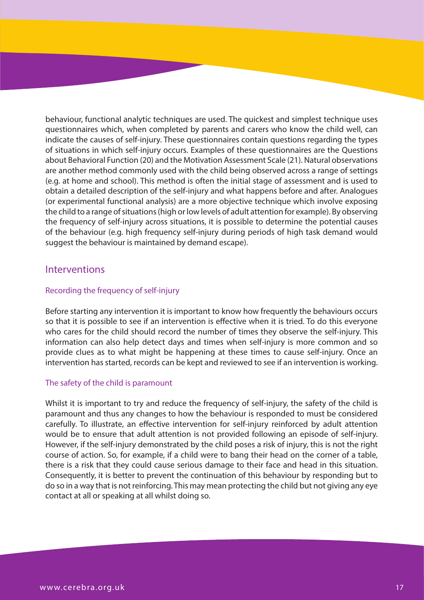behaviour, functional analytic techniques are used. The quickest and simplest technique uses questionnaires which, when completed by parents and carers who know the child well, can indicate the causes of self-injury. These questionnaires contain questions regarding the types of situations in which self-injury occurs. Examples of these questionnaires are the Questions about Behavioral Function (20) and the Motivation Assessment Scale (21). Natural observations are another method commonly used with the child being observed across a range of settings (e.g. at home and school). This method is often the initial stage of assessment and is used to obtain a detailed description of the self-injury and what happens before and after. Analogues (or experimental functional analysis) are a more objective technique which involve exposing the child to a range of situations (high or low levels of adult attention for example). By observing the frequency of self-injury across situations, it is possible to determine the potential causes of the behaviour (e.g. high frequency self-injury during periods of high task demand would suggest the behaviour is maintained by demand escape).

#### Interventions

#### Recording the frequency of self-injury

Before starting any intervention it is important to know how frequently the behaviours occurs so that it is possible to see if an intervention is effective when it is tried. To do this everyone who cares for the child should record the number of times they observe the self-injury. This information can also help detect days and times when self-injury is more common and so provide clues as to what might be happening at these times to cause self-injury. Once an intervention has started, records can be kept and reviewed to see if an intervention is working.

#### The safety of the child is paramount

Whilst it is important to try and reduce the frequency of self-injury, the safety of the child is paramount and thus any changes to how the behaviour is responded to must be considered carefully. To illustrate, an effective intervention for self-injury reinforced by adult attention would be to ensure that adult attention is not provided following an episode of self-injury. However, if the self-injury demonstrated by the child poses a risk of injury, this is not the right course of action. So, for example, if a child were to bang their head on the corner of a table, there is a risk that they could cause serious damage to their face and head in this situation. Consequently, it is better to prevent the continuation of this behaviour by responding but to do so in a way that is not reinforcing. This may mean protecting the child but not giving any eye contact at all or speaking at all whilst doing so.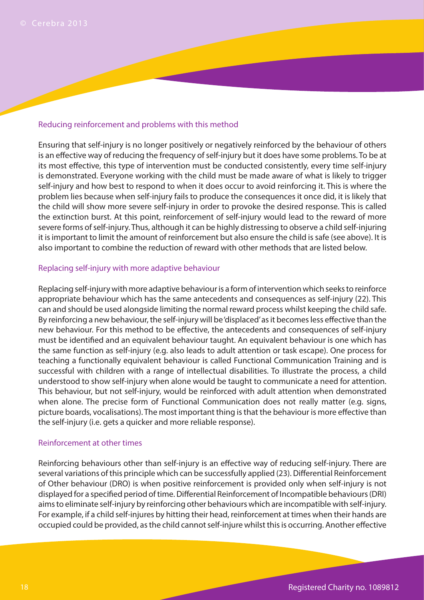#### Reducing reinforcement and problems with this method

Ensuring that self-injury is no longer positively or negatively reinforced by the behaviour of others is an effective way of reducing the frequency of self-injury but it does have some problems. To be at its most effective, this type of intervention must be conducted consistently, every time self-injury is demonstrated. Everyone working with the child must be made aware of what is likely to trigger self-injury and how best to respond to when it does occur to avoid reinforcing it. This is where the problem lies because when self-injury fails to produce the consequences it once did, it is likely that the child will show more severe self-injury in order to provoke the desired response. This is called the extinction burst. At this point, reinforcement of self-injury would lead to the reward of more severe forms of self-injury. Thus, although it can be highly distressing to observe a child self-injuring it is important to limit the amount of reinforcement but also ensure the child is safe (see above). It is also important to combine the reduction of reward with other methods that are listed below.

#### Replacing self-injury with more adaptive behaviour

Replacing self-injury with more adaptive behaviour is a form of intervention which seeks to reinforce appropriate behaviour which has the same antecedents and consequences as self-injury (22). This can and should be used alongside limiting the normal reward process whilst keeping the child safe. By reinforcing a new behaviour, the self-injury will be 'displaced' as it becomes less effective than the new behaviour. For this method to be effective, the antecedents and consequences of self-injury must be identified and an equivalent behaviour taught. An equivalent behaviour is one which has the same function as self-injury (e.g. also leads to adult attention or task escape). One process for teaching a functionally equivalent behaviour is called Functional Communication Training and is successful with children with a range of intellectual disabilities. To illustrate the process, a child understood to show self-injury when alone would be taught to communicate a need for attention. This behaviour, but not self-injury, would be reinforced with adult attention when demonstrated when alone. The precise form of Functional Communication does not really matter (e.g. signs, picture boards, vocalisations). The most important thing is that the behaviour is more effective than the self-injury (i.e. gets a quicker and more reliable response).

#### Reinforcement at other times

Reinforcing behaviours other than self-injury is an effective way of reducing self-injury. There are several variations of this principle which can be successfully applied (23). Differential Reinforcement of Other behaviour (DRO) is when positive reinforcement is provided only when self-injury is not displayed for a specified period of time. Differential Reinforcement of Incompatible behaviours (DRI) aims to eliminate self-injury by reinforcing other behaviours which are incompatible with self-injury. For example, if a child self-injures by hitting their head, reinforcement at times when their hands are occupied could be provided, as the child cannot self-injure whilst this is occurring. Another effective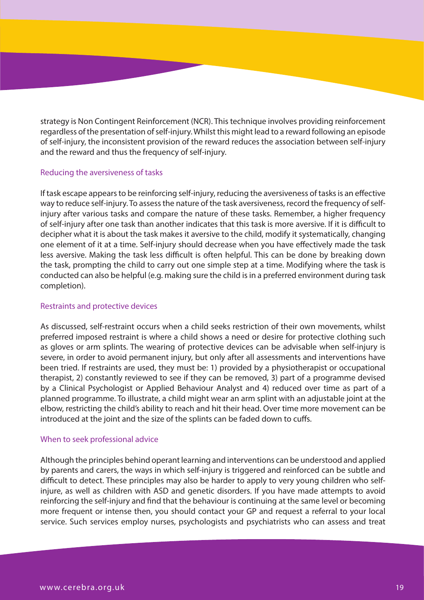strategy is Non Contingent Reinforcement (NCR). This technique involves providing reinforcement regardless of the presentation of self-injury. Whilst this might lead to a reward following an episode of self-injury, the inconsistent provision of the reward reduces the association between self-injury and the reward and thus the frequency of self-injury.

#### Reducing the aversiveness of tasks

If task escape appears to be reinforcing self-injury, reducing the aversiveness of tasks is an effective way to reduce self-injury. To assess the nature of the task aversiveness, record the frequency of selfinjury after various tasks and compare the nature of these tasks. Remember, a higher frequency of self-injury after one task than another indicates that this task is more aversive. If it is difficult to decipher what it is about the task makes it aversive to the child, modify it systematically, changing one element of it at a time. Self-injury should decrease when you have effectively made the task less aversive. Making the task less difficult is often helpful. This can be done by breaking down the task, prompting the child to carry out one simple step at a time. Modifying where the task is conducted can also be helpful (e.g. making sure the child is in a preferred environment during task completion).

#### Restraints and protective devices

As discussed, self-restraint occurs when a child seeks restriction of their own movements, whilst preferred imposed restraint is where a child shows a need or desire for protective clothing such as gloves or arm splints. The wearing of protective devices can be advisable when self-injury is severe, in order to avoid permanent injury, but only after all assessments and interventions have been tried. If restraints are used, they must be: 1) provided by a physiotherapist or occupational therapist, 2) constantly reviewed to see if they can be removed, 3) part of a programme devised by a Clinical Psychologist or Applied Behaviour Analyst and 4) reduced over time as part of a planned programme. To illustrate, a child might wear an arm splint with an adjustable joint at the elbow, restricting the child's ability to reach and hit their head. Over time more movement can be introduced at the joint and the size of the splints can be faded down to cuffs.

#### When to seek professional advice

Although the principles behind operant learning and interventions can be understood and applied by parents and carers, the ways in which self-injury is triggered and reinforced can be subtle and difficult to detect. These principles may also be harder to apply to very young children who selfinjure, as well as children with ASD and genetic disorders. If you have made attempts to avoid reinforcing the self-injury and find that the behaviour is continuing at the same level or becoming more frequent or intense then, you should contact your GP and request a referral to your local service. Such services employ nurses, psychologists and psychiatrists who can assess and treat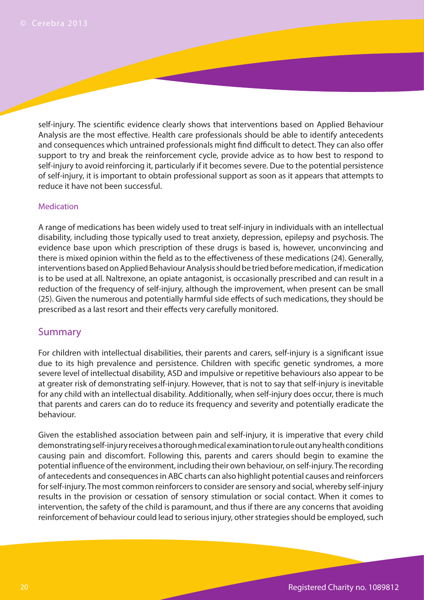self-injury. The scientific evidence clearly shows that interventions based on Applied Behaviour Analysis are the most effective. Health care professionals should be able to identify antecedents and consequences which untrained professionals might find difficult to detect. They can also offer support to try and break the reinforcement cycle, provide advice as to how best to respond to self-injury to avoid reinforcing it, particularly if it becomes severe. Due to the potential persistence of self-injury, it is important to obtain professional support as soon as it appears that attempts to reduce it have not been successful.

#### Medication

A range of medications has been widely used to treat self-injury in individuals with an intellectual disability, including those typically used to treat anxiety, depression, epilepsy and psychosis. The evidence base upon which prescription of these drugs is based is, however, unconvincing and there is mixed opinion within the field as to the effectiveness of these medications (24). Generally, interventions based on Applied Behaviour Analysis should be tried before medication, if medication is to be used at all. Naltrexone, an opiate antagonist, is occasionally prescribed and can result in a reduction of the frequency of self-injury, although the improvement, when present can be small (25). Given the numerous and potentially harmful side effects of such medications, they should be prescribed as a last resort and their effects very carefully monitored.

### Summary

For children with intellectual disabilities, their parents and carers, self-injury is a significant issue due to its high prevalence and persistence. Children with specific genetic syndromes, a more severe level of intellectual disability, ASD and impulsive or repetitive behaviours also appear to be at greater risk of demonstrating self-injury. However, that is not to say that self-injury is inevitable for any child with an intellectual disability. Additionally, when self-injury does occur, there is much that parents and carers can do to reduce its frequency and severity and potentially eradicate the behaviour.

Given the established association between pain and self-injury, it is imperative that every child demonstrating self-injury receives a thorough medical examination to rule out any health conditions causing pain and discomfort. Following this, parents and carers should begin to examine the potential influence of the environment, including their own behaviour, on self-injury. The recording of antecedents and consequences in ABC charts can also highlight potential causes and reinforcers for self-injury. The most common reinforcers to consider are sensory and social, whereby self-injury results in the provision or cessation of sensory stimulation or social contact. When it comes to intervention, the safety of the child is paramount, and thus if there are any concerns that avoiding reinforcement of behaviour could lead to serious injury, other strategies should be employed, such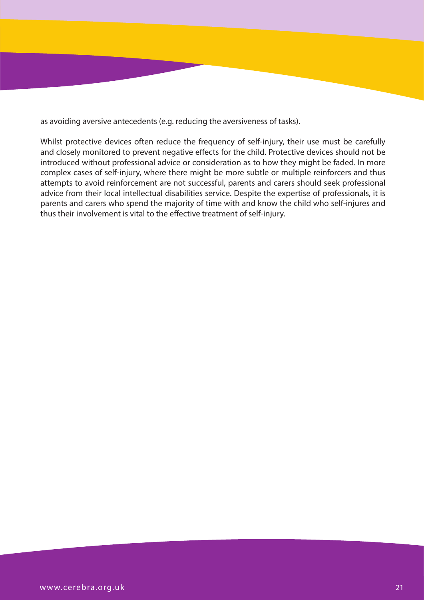as avoiding aversive antecedents (e.g. reducing the aversiveness of tasks).

Whilst protective devices often reduce the frequency of self-injury, their use must be carefully and closely monitored to prevent negative effects for the child. Protective devices should not be introduced without professional advice or consideration as to how they might be faded. In more complex cases of self-injury, where there might be more subtle or multiple reinforcers and thus attempts to avoid reinforcement are not successful, parents and carers should seek professional advice from their local intellectual disabilities service. Despite the expertise of professionals, it is parents and carers who spend the majority of time with and know the child who self-injures and thus their involvement is vital to the effective treatment of self-injury.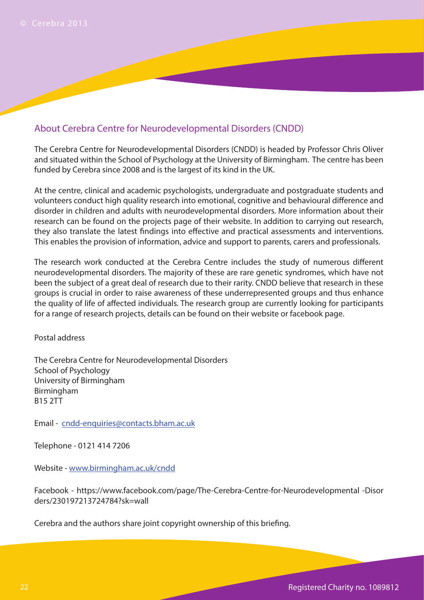# About Cerebra Centre for Neurodevelopmental Disorders (CNDD)

The Cerebra Centre for Neurodevelopmental Disorders (CNDD) is headed by Professor Chris Oliver and situated within the School of Psychology at the University of Birmingham. The centre has been funded by Cerebra since 2008 and is the largest of its kind in the UK.

At the centre, clinical and academic psychologists, undergraduate and postgraduate students and volunteers conduct high quality research into emotional, cognitive and behavioural difference and disorder in children and adults with neurodevelopmental disorders. More information about their research can be found on the projects page of their website. In addition to carrying out research, they also translate the latest findings into effective and practical assessments and interventions. This enables the provision of information, advice and support to parents, carers and professionals.

The research work conducted at the Cerebra Centre includes the study of numerous different neurodevelopmental disorders. The majority of these are rare genetic syndromes, which have not been the subject of a great deal of research due to their rarity. CNDD believe that research in these groups is crucial in order to raise awareness of these underrepresented groups and thus enhance the quality of life of affected individuals. The research group are currently looking for participants for a range of research projects, details can be found on their website or facebook page.

Postal address

The Cerebra Centre for Neurodevelopmental Disorders School of Psychology University of Birmingham Birmingham B15 2TT

Email - cndd-enquiries@contacts.bham.ac.uk

Telephone - 0121 414 7206

Website - www.birmingham.ac.uk/cndd

Facebook - https://www.facebook.com/page/The-Cerebra-Centre-for-Neurodevelopmental -Disor ders/230197213724784?sk=wall

Cerebra and the authors share joint copyright ownership of this briefing.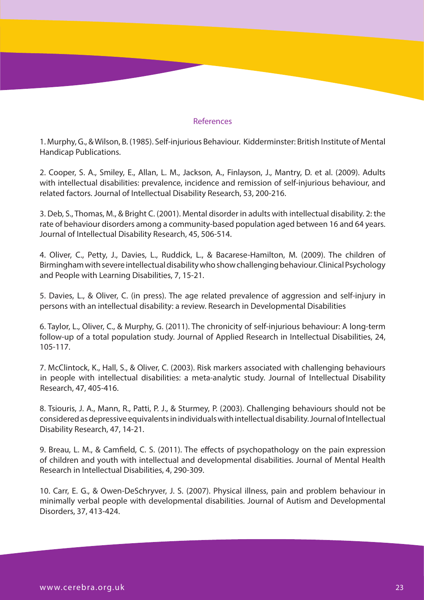#### References

1. Murphy, G., & Wilson, B. (1985). Self-injurious Behaviour. Kidderminster: British Institute of Mental Handicap Publications.

2. Cooper, S. A., Smiley, E., Allan, L. M., Jackson, A., Finlayson, J., Mantry, D. et al. (2009). Adults with intellectual disabilities: prevalence, incidence and remission of self-injurious behaviour, and related factors. Journal of Intellectual Disability Research, 53, 200-216.

3. Deb, S., Thomas, M., & Bright C. (2001). Mental disorder in adults with intellectual disability. 2: the rate of behaviour disorders among a community-based population aged between 16 and 64 years. Journal of Intellectual Disability Research, 45, 506-514.

4. Oliver, C., Petty, J., Davies, L., Ruddick, L., & Bacarese-Hamilton, M. (2009). The children of Birmingham with severe intellectual disability who show challenging behaviour. Clinical Psychology and People with Learning Disabilities, 7, 15-21.

5. Davies, L., & Oliver, C. (in press). The age related prevalence of aggression and self-injury in persons with an intellectual disability: a review. Research in Developmental Disabilities

6. Taylor, L., Oliver, C., & Murphy, G. (2011). The chronicity of self-injurious behaviour: A long-term follow-up of a total population study. Journal of Applied Research in Intellectual Disabilities, 24, 105-117.

7. McClintock, K., Hall, S., & Oliver, C. (2003). Risk markers associated with challenging behaviours in people with intellectual disabilities: a meta-analytic study. Journal of Intellectual Disability Research, 47, 405-416.

8. Tsiouris, J. A., Mann, R., Patti, P. J., & Sturmey, P. (2003). Challenging behaviours should not be considered as depressive equivalents in individuals with intellectual disability. Journal of Intellectual Disability Research, 47, 14-21.

9. Breau, L. M., & Camfield, C. S. (2011). The effects of psychopathology on the pain expression of children and youth with intellectual and developmental disabilities. Journal of Mental Health Research in Intellectual Disabilities, 4, 290-309.

10. Carr, E. G., & Owen-DeSchryver, J. S. (2007). Physical illness, pain and problem behaviour in minimally verbal people with developmental disabilities. Journal of Autism and Developmental Disorders, 37, 413-424.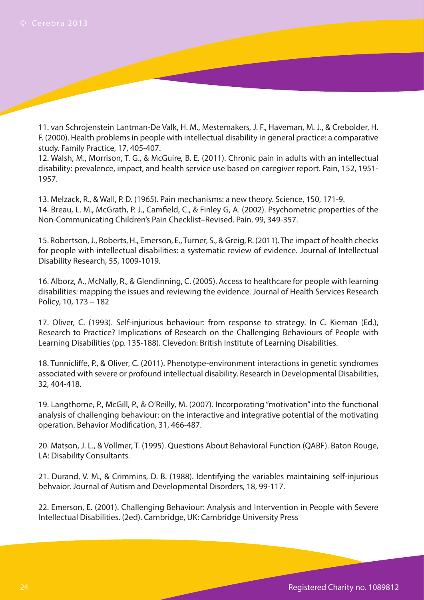11. van Schrojenstein Lantman-De Valk, H. M., Mestemakers, J. F., Haveman, M. J., & Crebolder, H. F. (2000). Health problems in people with intellectual disability in general practice: a comparative study. Family Practice, 17, 405-407.

12. Walsh, M., Morrison, T. G., & McGuire, B. E. (2011). Chronic pain in adults with an intellectual disability: prevalence, impact, and health service use based on caregiver report. Pain, 152, 1951- 1957.

13. Melzack, R., & Wall, P. D. (1965). Pain mechanisms: a new theory. Science, 150, 171-9. 14. Breau, L. M., McGrath, P. J., Camfield, C., & Finley G, A. (2002). Psychometric properties of the Non-Communicating Children's Pain Checklist–Revised. Pain. 99, 349-357.

15. Robertson, J., Roberts, H., Emerson, E., Turner, S., & Greig, R. (2011). The impact of health checks for people with intellectual disabilities: a systematic review of evidence. Journal of Intellectual Disability Research, 55, 1009-1019.

16. Alborz, A., McNally, R., & Glendinning, C. (2005). Access to healthcare for people with learning disabilities: mapping the issues and reviewing the evidence. Journal of Health Services Research Policy, 10, 173 – 182

17. Oliver, C. (1993). Self-injurious behaviour: from response to strategy. In C. Kiernan (Ed.), Research to Practice? Implications of Research on the Challenging Behaviours of People with Learning Disabilities (pp. 135-188). Clevedon: British Institute of Learning Disabilities.

18. Tunnicliffe, P., & Oliver, C. (2011). Phenotype-environment interactions in genetic syndromes associated with severe or profound intellectual disability. Research in Developmental Disabilities, 32, 404-418.

19. Langthorne, P., McGill, P., & O'Reilly, M. (2007). Incorporating "motivation" into the functional analysis of challenging behaviour: on the interactive and integrative potential of the motivating operation. Behavior Modification, 31, 466-487.

20. Matson, J. L., & Vollmer, T. (1995). Questions About Behavioral Function (QABF). Baton Rouge, LA: Disability Consultants.

21. Durand, V. M., & Crimmins, D. B. (1988). Identifying the variables maintaining self-injurious behvaior. Journal of Autism and Developmental Disorders, 18, 99-117.

22. Emerson, E. (2001). Challenging Behaviour: Analysis and Intervention in People with Severe Intellectual Disabilities. (2ed). Cambridge, UK: Cambridge University Press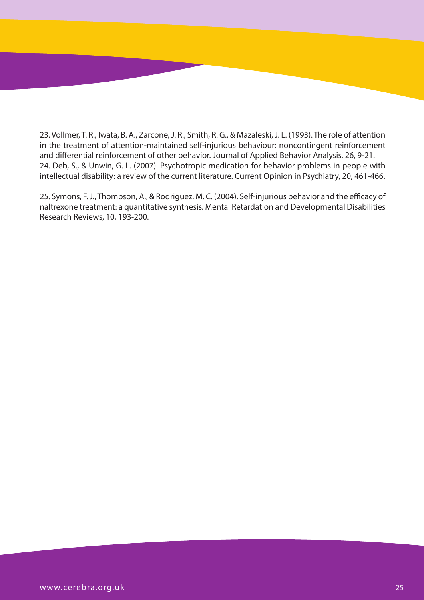23. Vollmer, T. R., Iwata, B. A., Zarcone, J. R., Smith, R. G., & Mazaleski, J. L. (1993). The role of attention in the treatment of attention-maintained self-injurious behaviour: noncontingent reinforcement and differential reinforcement of other behavior. Journal of Applied Behavior Analysis, 26, 9-21. 24. Deb, S., & Unwin, G. L. (2007). Psychotropic medication for behavior problems in people with intellectual disability: a review of the current literature. Current Opinion in Psychiatry, 20, 461-466.

25. Symons, F. J., Thompson, A., & Rodriguez, M. C. (2004). Self-injurious behavior and the efficacy of naltrexone treatment: a quantitative synthesis. Mental Retardation and Developmental Disabilities Research Reviews, 10, 193-200.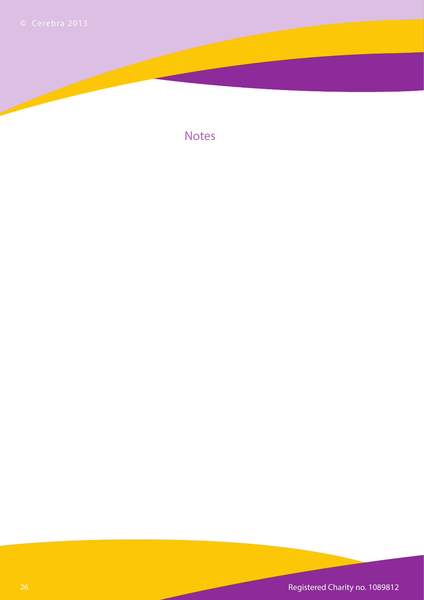

**Notes** 

26 Registered Charity no. 1089812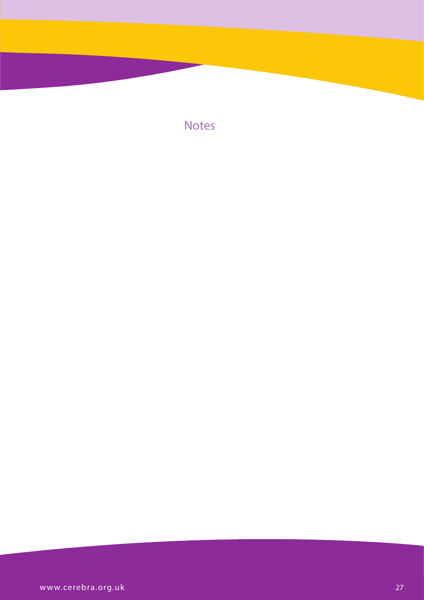**Notes**